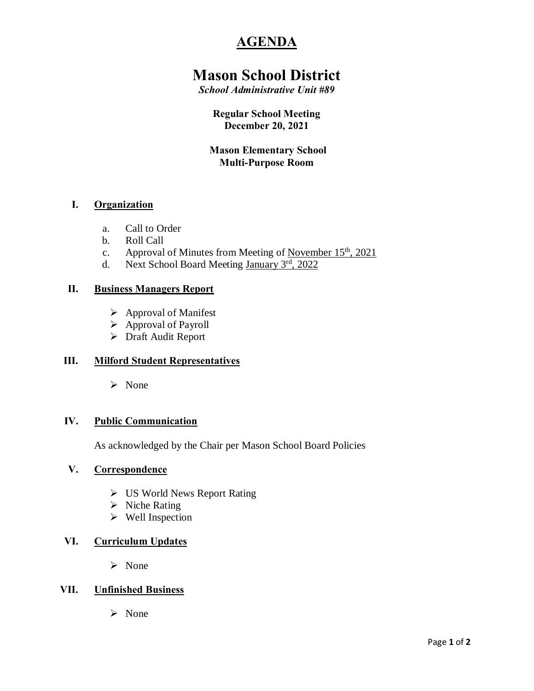# **AGENDA**

# **Mason School District**

*School Administrative Unit #89*

## **Regular School Meeting December 20, 2021**

# **Mason Elementary School Multi-Purpose Room**

# **I. Organization**

- a. Call to Order
- b. Roll Call
- c. Approval of Minutes from Meeting of November  $15<sup>th</sup>$ , 2021
- d. Next School Board Meeting January 3rd, 2022

#### **II. Business Managers Report**

- $\triangleright$  Approval of Manifest
- $\triangleright$  Approval of Payroll
- $\triangleright$  Draft Audit Report

## **III. Milford Student Representatives**

ÿ None

#### **IV. Public Communication**

As acknowledged by the Chair per Mason School Board Policies

#### **V. Correspondence**

- $\triangleright$  US World News Report Rating
- $\triangleright$  Niche Rating
- $\triangleright$  Well Inspection

#### **VI. Curriculum Updates**

 $\triangleright$  None

## **VII. Unfinished Business**

ÿ None